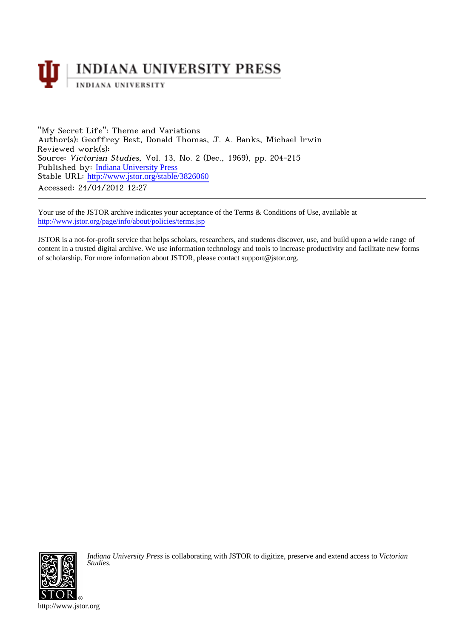

"My Secret Life": Theme and Variations Author(s): Geoffrey Best, Donald Thomas, J. A. Banks, Michael Irwin Reviewed work(s): Source: Victorian Studies, Vol. 13, No. 2 (Dec., 1969), pp. 204-215 Published by: [Indiana University Press](http://www.jstor.org/action/showPublisher?publisherCode=iupress) Stable URL: [http://www.jstor.org/stable/3826060](http://www.jstor.org/stable/3826060?origin=JSTOR-pdf) Accessed: 24/04/2012 12:27

Your use of the JSTOR archive indicates your acceptance of the Terms & Conditions of Use, available at <http://www.jstor.org/page/info/about/policies/terms.jsp>

JSTOR is a not-for-profit service that helps scholars, researchers, and students discover, use, and build upon a wide range of content in a trusted digital archive. We use information technology and tools to increase productivity and facilitate new forms of scholarship. For more information about JSTOR, please contact support@jstor.org.



*Indiana University Press* is collaborating with JSTOR to digitize, preserve and extend access to *Victorian Studies.*

http://www.jstor.org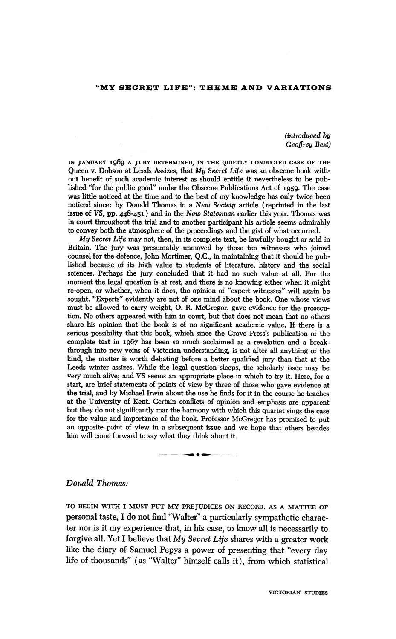## **"MY SECRET LIFE": THEME AND VARIATIONS**

**(introduced by Geoffrey Best)** 

**IN JANUARY 1969 A JURY DETERMINED, IN THE QUIETLY CONDUCTED CASE OF THE Queen v. Dobson at Leeds Assizes, that My Secret Life was an obscene book without benefit of such academic interest as should entitle it nevertheless to be published "for the public good" under the Obscene Publications Act of 1959. The case was little noticed at the time and to the best of my knowledge has only twice been noticed since: by Donald Thomas in a New Society article (reprinted in the last issue of VS, pp. 448-451) and in the New Statesman earlier this year. Thomas was in court throughout the trial and to another participant his article seems admirably to convey both the atmosphere of the proceedings and the gist of what occurred.** 

**My Secret Life may not, then, in its complete text, be lawfully bought or sold in Britain. The jury was presumably unmoved by those ten witnesses who joined counsel for the defence, John Mortimer, Q.C., in maintaining that it should be published because of its high value to students of literature, history and the social sciences. Perhaps the jury concluded that it had no such value at all. For the moment the legal question is at rest, and there is no knowing either when it might re-open, or whether, when it does, the opinion of "expert witnesses" will again be sought. "Experts" evidently are not of one mind about the book. One whose views must be allowed to carry weight, 0. R. McGregor, gave evidence for the prosecution. No others appeared with him in court, but that does not mean that no others share his opinion that the book is of no significant academic value. If there is a serious possibility that this book, which since the Grove Press's publication of the complete text in 1967 has been so much acclaimed as a revelation and a breakthrough into new veins of Victorian understanding, is not after all anything of the kind, the matter is worth debating before a better qualified jury than that at the Leeds winter assizes. While the legal question sleeps, the scholarly issue may be very much alive; and VS seems an appropriate place in which to try it. Here, for a start, are brief statements of points of view by three of those who gave evidence at the trial, and by Michael Irwin about the use he finds for it in the course he teaches at the University of Kent. Certain conflicts of opinion and emphasis are apparent but they do not significantly mar the harmony with which this quartet sings the case for the value and importance of the book. Professor McGregor has promised to put an opposite point of view in a subsequent issue and we hope that others besides him will come forward to say what they think about it.** 

## **Donald Thomas:**

**TO BEGIN WITH I MUST PUT MY PREJUDICES ON RECORD. AS A MATTER OF personal taste, I do not find "Walter" a particularly sympathetic character nor is it my experience that, in his case, to know all is necessarily to forgive all. Yet I believe that My Secret Life shares with a greater work like the diary of Samuel Pepys a power of presenting that "every day life of thousands" (as "Walter" himself calls it), from which statistical**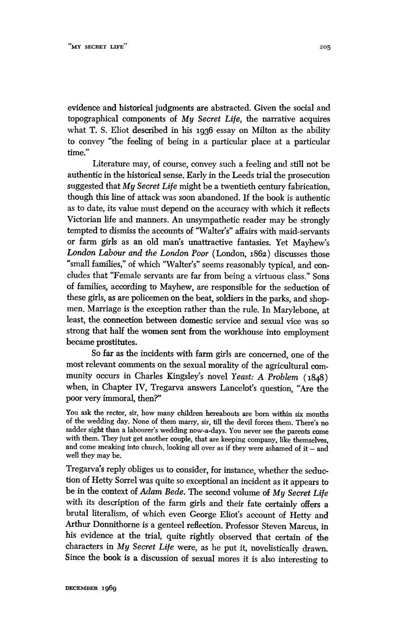**evidence and historical judgments are abstracted. Given the social and topographical components of My Secret Life, the narrative acquires what T. S. Eliot described in his 1936 essay on Milton as the ability to convey "the feeling of being in a particular place at a particular time."** 

**Literature may, of course, convey such a feeling and still not be authentic in the historical sense. Early in the Leeds trial the prosecution suggested that My Secret Life might be a twentieth century fabrication, though this line of attack was soon abandoned. If the book is authentic as to date, its value must depend on the accuracy with which it reflects Victorian life and manners. An unsympathetic reader may be strongly tempted to dismiss the accounts of '"Walter's" affairs with maid-servants or farm girls as an old man's unattractive fantasies. Yet Mayhew's London Labour and the London Poor (London, 1862) discusses those "small families," of which "Walter's" seems reasonably typical, and concludes that "Female servants are far from being a virtuous class." Sons of families, according to Mayhew, are responsible for the seduction of these girls, as are policemen on the beat, soldiers in the parks, and shopmen. Marriage is the exception rather than the rule. In Marylebone, at least, the connection between domestic service and sexual vice was so strong that half the women sent from the workhouse into employment became prostitutes.** 

**So far as the incidents with farm girls are concerned, one of the most relevant comments on the sexual morality of the agricultural community occurs in Charles Kingsley's novel Yeast: A Problem (1848) when, in Chapter IV, Tregarva answers Lancelot's question, "Are the poor very immoral, then?"** 

**You ask the rector, sir, how many children hereabouts are born within six months of the wedding day. None of them marry, sir, till the devil forces them. There's no sadder sight than a labourer's wedding now-a-days. You never see the parents come with them. They just get another couple, that are keeping company, like themselves,**  and come sneaking into church, looking all over as if they were ashamed of it - and **well they may be.** 

**Tregarva's reply obliges us to consider, for instance, whether the seduction of Hetty Sorrel was quite so exceptional an incident as it appears to be in the context of Adam Bede. The second volume of My Secret Life with its description of the farm girls and their fate certainly offers a brutal literalism, of which even George Eliot's account of Hetty and Arthur Donnithorne is a genteel reflection. Professor Steven Marcus, in his evidence at the trial, quite rightly observed that certain of the characters in My Secret Life were, as he put it, novelistically drawn. Since the book is a discussion of sexual mores it is also interesting to**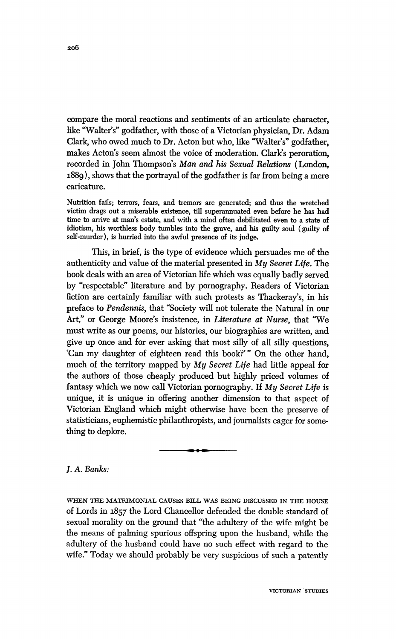**compare the moral reactions and sentiments of an articulate character, like "Walter's" godfather, with those of a Victorian physician, Dr. Adam Clark, who owed much to Dr. Acton but who, like "Walter's" godfather, makes Acton's seem almost the voice of moderation. Clark's peroration, recorded in John Thompson's Man and his Sexual Relations (London, 1889), shows that the portrayal of the godfather is far from being a mere caricature.** 

**Nutrition fails; terrors, fears, and tremors are generated; and thus the wretched victim drags out a miserable existence, till superannuated even before he has had time to arrive at man's estate, and with a mind often debilitated even to a state of idiotism, his worthless body tumbles into the grave, and his guilty soul (guilty of self-murder), is hurried into the awful presence of its judge.** 

**This, in brief, is the type of evidence which persuades me of the authenticity and value of the material presented in My Secret Life. The book deals with an area of Victorian life which was equally badly served by "respectable" literature and by pornography. Readers of Victorian fiction are certainly familiar with such protests as Thackeray's, in his preface to Pendennis, that "Society will not tolerate the Natural in our Art," or George Moore's insistence, in Literature at Nurse, that "We must write as our poems, our histories, our biographies are written, and give up once and for ever asking that most silly of all silly questions, 'Can my daughter of eighteen read this book?'" On the other hand, much of the territory mapped by My Secret Life had little appeal for the authors of those cheaply produced but highly priced volumes of fantasy which we now call Victorian pornography. If My Secret Life is unique, it is unique in offering another dimension to that aspect of Victorian England which might otherwise have been the preserve of statisticians, euphemistic philanthropists, and journalists eager for something to deplore.** 

**1. A. Banks:** 

**WHEN THE MATRIMONIAL CAUSES BILL WAS BEING DISCUSSED IN THE HOUSE of Lords in 1857 the Lord Chancellor defended the double standard of sexual morality on the ground that "the adultery of the wife might be the means of palming spurious offspring upon the husband, while the adultery of the husband could have no such effect with regard to the wife." Today we should probably be very suspicious of such a patently** 

**VICTORIAN STUDIES**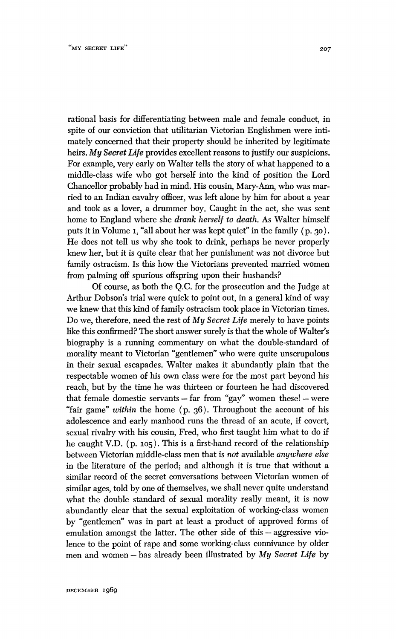**rational basis for differentiating between male and female conduct, in spite of our conviction that utilitarian Victorian Englishmen were intimately concerned that their property should be inherited by legitimate heirs. My Secret Life provides excellent reasons to justify our suspicions. For example, very early on Walter tells the story of what happened to a middle-class wife who got herself into the kind of position the Lord Chancellor probably had in mind. His cousin, Mary-Ann, who was married to an Indian cavalry officer, was left alone by him for about a year and took as a lover, a drummer boy. Caught in the act, she was sent home to England where she drank herself to death. As Walter himself puts it in Volume i, "all about her was kept quiet" in the family (p. 30). He does not tell us why she took to drink, perhaps he never properly knew her, but it is quite clear that her punishment was not divorce but family ostracism. Is this how the Victorians prevented married women from palming off spurious offspring upon their husbands?** 

**Of course, as both the Q.C. for the prosecution and the Judge at Arthur Dobson's trial were quick to point out, in a general kind of way we knew that this kind of family ostracism took place in Victorian times. Do we, therefore, need the rest of My Secret Life merely to have points like this confirmed? The short answer surely is that the whole of Walter's biography is a running commentary on what the double-standard of morality meant to Victorian "gentlemen" who were quite unscrupulous in their sexual escapades. Walter makes it abundantly plain that the respectable women of his own class were for the most part beyond his reach, but by the time he was thirteen or fourteen he had discovered**  that female domestic servants - far from "gay" women these! - were **"fair game" within the home (p. 36). Throughout the account of his adolescence and early manhood runs the thread of an acute, if covert, sexual rivalry with his cousin, Fred, who first taught him what to do if he caught V.D. (p. 105). This is a first-hand record of the relationship between Victorian middle-class men that is not available anywhere else in the literature of the period; and although it is true that without a similar record of the secret conversations between Victorian women of similar ages, told by one of themselves, we shall never quite understand what the double standard of sexual morality really meant, it is now abundantly clear that the sexual exploitation of working-class women by "gentlemen" was in part at least a product of approved forms of**  emulation amongst the latter. The other side of this - aggressive vio**lence to the point of rape and some working-class connivance by older**  men and women - has already been illustrated by My Secret Life by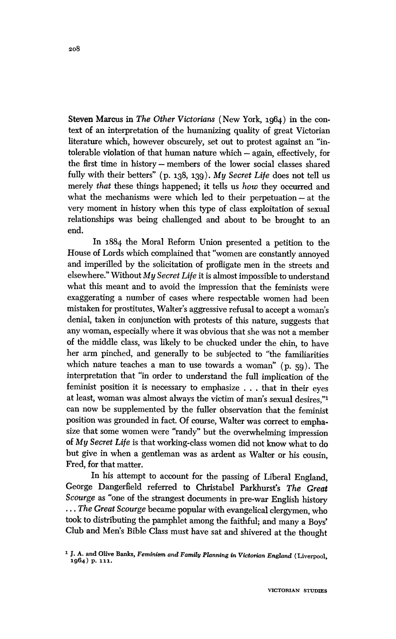**Steven Marcus in The Other Victorians (New York, 1964) in the context of an interpretation of the humanizing quality of great Victorian literature which, however obscurely, set out to protest against an "intolerable violation of that human nature which - again, effectively, for the first time in history - members of the lower social classes shared fully with their betters" (p. 138, 139). My Secret Life does not tell us merely that these things happened; it tells us how they occurred and**  what the mechanisms were which led to their perpetuation - at the **very moment in history when this type of class exploitation of sexual relationships was being challenged and about to be brought to an end.** 

**In 1884 the Moral Reform Union presented a petition to the House of Lords which complained that "women are constantly annoyed and imperilled by the solicitation of profligate men in the streets and elsewhere." Without My Secret Life it is almost impossible to understand what this meant and to avoid the impression that the feminists were exaggerating a number of cases where respectable women had been mistaken for prostitutes. Walter's aggressive refusal to accept a woman's denial, taken in conjunction with protests of this nature, suggests that any woman, especially where it was obvious that she was not a member of the middle class, was likely to be chucked under the chin, to have her arm pinched, and generally to be subjected to "the familiarities which nature teaches a man to use towards a woman" (p. 59). The interpretation that "in order to understand the full implication of the feminist position it is necessary to emphasize . . . that in their eyes at least, woman was almost always the victim of man's sexual desires,"1 can now be supplemented by the fuller observation that the feminist position was grounded in fact. Of course, Walter was correct to emphasize that some women were "randy" but the overwhelming impression of My Secret Life is that working-class women did not know what to do but give in when a gentleman was as ardent as Walter or his cousin, Fred, for that matter.** 

**In his attempt to account for the passing of Liberal England, George Dangerfield referred to Christabel Parkhurst's The Great Scourge as "one of the strangest documents in pre-war English history ... The Great Scourge became popular with evangelical clergymen, who took to distributing the pamphlet among the faithful; and many a Boys' Club and Men's Bible Class must have sat and shivered at the thought** 

**<sup>1</sup>J. A. and Olive Banks, Feminism and Family Planning in Victorian England (Liverpool, 1964) p. 1ii.**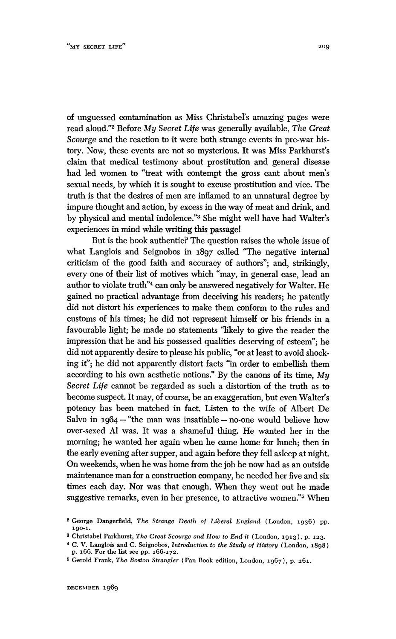**of unguessed contamination as Miss ChristabeFs amazing pages were read aloud."2 Before My Secret Life was generally available, The Great Scourge and the reaction to it were both strange events in pre-war history. Now, these events are not so mysterious. It was Miss Parkhurst's claim that medical testimony about prostitution and general disease had led women to "treat with contempt the gross cant about men's sexual needs, by which it is sought to excuse prostitution and vice. The truth is that the desires of men are inflamed to an unnatural degree by impure thought and action, by excess in the way of meat and drink, and by physical and mental indolence."3 She might well have had Walter's experiences in mind while writing this passage!** 

**But is the book authentic? The question raises the whole issue of what Langlois and Seignobos in 1897 called "The negative internal criticism of the good faith and accuracy of authors"; and, strikingly, every one of their list of motives which "may, in general case, lead an author to violate truth"4 can only be answered negatively for Walter. He gained no practical advantage from deceiving his readers; he patently did not distort his experiences to make them conform to the rules and customs of his times; he did not represent himself or his friends in a favourable light; he made no statements "likely to give the reader the impression that he and his possessed qualities deserving of esteem"; he did not apparently desire to please his public, "or at least to avoid shocking it"; he did not apparently distort facts "in order to embellish them according to his own aesthetic notions." By the canons of its time, My Secret Life cannot be regarded as such a distortion of the truth as to become suspect. It may, of course, be an exaggeration, but even Walter's potency has been matched in fact. Listen to the wife of Albert De Salvo in 1964 - "the man was insatiable - no-one would believe how over-sexed Al was. It was a shameful thing. He wanted her in the morning; he wanted her again when he came home for lunch; then in the early evening after supper, and again before they fell asleep at night. On weekends, when he was home from the job he now had as an outside maintenance man for a construction company, he needed her five and six times each day. Nor was that enough. When they went out he made suggestive remarks, even in her presence, to attractive women."5 When** 

**<sup>2</sup>George Dangerfield, The Strange Death of Liberal England (London, 1936) pp. 190-1.** 

**<sup>3</sup> Christabel Parkhurst, The Great Scourge and How to End it (London, 1913), p. 123.** 

**<sup>4</sup> C. V. Langlois and C. Seignobos, Introduction to the Study of History (London, 1898) p. 166. For the list see pp. 166-172.** 

**<sup>5</sup> Gerold Frank, The Boston Strangler (Pan Book edition, London, 1967), p. 261.**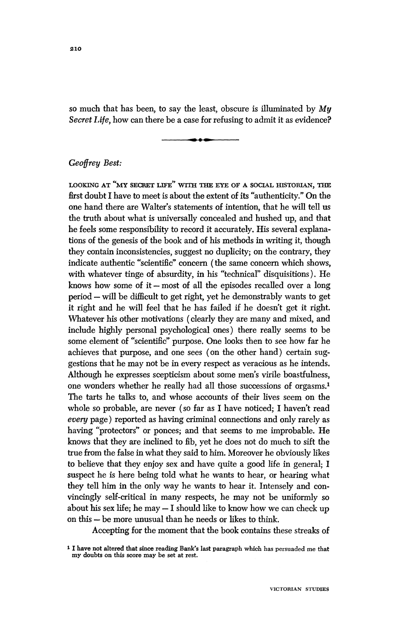**so much that has been, to say the least, obscure is illuminated by My Secret Life, how can there be a case for refusing to admit it as evidence?** 



## **Geoffrey Best:**

**LOOKING AT "MY SECRET LIFE" WITH THE EYE OF A SOCIAL HISTORIAN, THE first doubt I have to meet is about the extent of its "authenticity." On the one hand there are Walter's statements of intention, that he will tell us the truth about what is universally concealed and hushed up, and that he feels some responsibility to record it accurately. His several explanations of the genesis of the book and of his methods in writing it, though they contain inconsistencies, suggest no duplicity; on the contrary, they indicate authentic "scientific" concern (the same concern which shows, with whatever tinge of absurdity, in his "technical" disquisitions). He**  knows how some of it - most of all the episodes recalled over a long **period - will be difficult to get right, yet he demonstrably wants to get it right and he will feel that he has failed if he doesn't get it right. Whatever his other motivations (clearly they are many and mixed, and include highly personal psychological ones) there really seems to be some element of "scientific" purpose. One looks then to see how far he achieves that purpose, and one sees (on the other hand) certain suggestions that he may not be in every respect as veracious as he intends. Although he expresses scepticism about some men's virile boastfulness, one wonders whether he really had all those successions of orgasms.' The tarts he talks to, and whose accounts of their lives seem on the whole so probable, are never (so far as I have noticed; I haven't read every page) reported as having criminal connections and only rarely as having "protectors" or ponces; and that seems to me improbable. He knows that they are inclined to fib, yet he does not do much to sift the true from the false in what they said to him. Moreover he obviously likes to believe that they enjoy sex and have quite a good life in general; I suspect he is here being told what he wants to hear, or hearing what they tell him in the only way he wants to hear it. Intensely and convincingly self-critical in many respects, he may not be uniformly so about his sex life; he may - I should like to know how we can check up on this - be more unusual than he needs or likes to think.** 

**Accepting for the moment that the book contains these streaks of** 

**I have not altered that since reading Bank's last paragraph which has persuaded me that my doubts on this score may be set at rest.**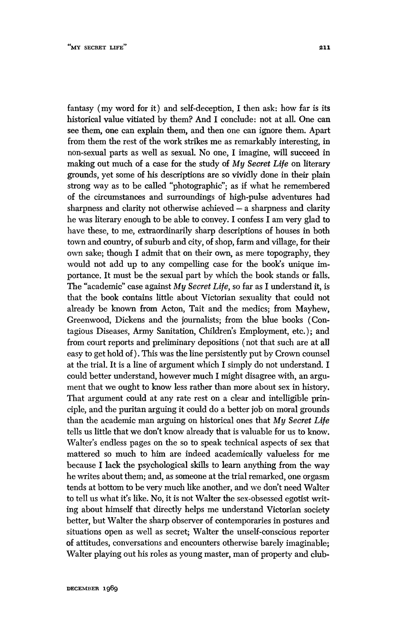**fantasy (my word for it) and self-deception, I then ask: how far is its historical value vitiated by them? And I conclude: not at all. One can see them, one can explain them, and then one can ignore them. Apart from them the rest of the work strikes me as remarkably interesting, in non-sexual parts as well as sexual. No one, I imagine, will succeed in making out much of a case for the study of My Secret Life on literary grounds, yet some of his descriptions are so vividly done in their plain strong way as to be called "photographic"; as if what he remembered of the circumstances and surroundings of high-pulse adventures had sharpness and clarity not otherwise achieved - a sharpness and clarity he was literary enough to be able to convey. I confess I am very glad to have these, to me, extraordinarily sharp descriptions of houses in both town and country, of suburb and city, of shop, farm and village, for their own sake; though I admit that on their own, as mere topography, they would not add up to any compelling case for the book's unique importance. It must be the sexual part by which the book stands or falls. The "academic" case against My Secret Life, so far as I understand it, is that the book contains little about Victorian sexuality that could not already be known from Acton, Tait and the medics; from Mayhew, Greenwood, Dickens and the journalists; from the blue books (Contagious Diseases, Army Sanitation, Children's Employment, etc.); and from court reports and preliminary depositions (not that such are at all easy to get hold of). This was the line persistently put by Crown counsel at the trial. It is a line of argument which I simply do not understand. I could better understand, however much I might disagree with, an argument that we ought to know less rather than more about sex in history. That argument could at any rate rest on a clear and intelligible principle, and the puritan arguing it could do a better job on moral grounds than the academic man arguing on historical ones that My Secret Life tells us little that we don't know already that is valuable for us to know. Walter's endless pages on the so to speak technical aspects of sex that mattered so much to him are indeed academically valueless for me because I lack the psychological skills to learn anything from the way he writes about them; and, as someone at the trial remarked, one orgasm tends at bottom to be very much like another, and we don't need Walter to tell us what it's like. No, it is not Walter the sex-obsessed egotist writing about himself that directly helps me understand Victorian society better, but Walter the sharp observer of contemporaries in postures and situations open as well as secret; Walter the unself-conscious reporter of attitudes, conversations and encounters otherwise barely imaginable; Walter playing out his roles as young master, man of property and club-**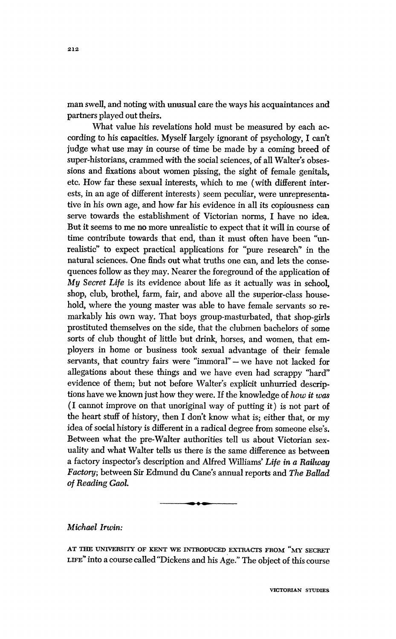**man swell, and noting with unusual care the ways his acquaintances and partners played out theirs.** 

**What value his revelations hold must be measured by each according to his capacities. Myself largely ignorant of psychology, I can't judge what use may in course of time be made by a coming breed of super-historians, crammed with the social sciences, of all Walter's obsessions and fixations about women pissing, the sight of female genitals, etc. How far these sexual interests, which to me (with different interests, in an age of different interests) seem peculiar, were unrepresentative in his own age, and how far his evidence in all its copiousness can serve towards the establishment of Victorian norms, I have no idea. But it seems to me no more unrealistic to expect that it will in course of time contribute towards that end, than it must often have been "unrealistic" to expect practical applications for "pure research" in the natural sciences. One finds out what truths one can, and lets the consequences follow as they may. Nearer the foreground of the application of My Secret Life is its evidence about life as it actually was in school, shop, club, brothel, farm, fair, and above all the superior-class household, where the young master was able to have female servants so remarkably his own way. That boys group-masturbated, that shop-girls prostituted themselves on the side, that the clubmen bachelors of some sorts of club thought of little but drink, horses, and women, that employers in home or business took sexual advantage of their female servants, that country fairs were "immoral" - we have not lacked for**  allegations about these things and we have even had scrappy "hard" **evidence of them; but not before Walter's explicit unhurried descriptions have we known just how they were. If the knowledge of how it was (I cannot improve on that unoriginal way of putting it) is not part of the heart stuff of history, then I don't know what is; either that, or my idea of social history is different in a radical degree from someone else's. Between what the pre-Walter authorities tell us about Victorian sexuality and what Walter tells us there is the same difference as between a factory inspector's description and Alfred Williams' Life in a Railway Factory; between Sir Edmund du Cane's annual reports and The Ballad of Reading Gaol.** 



## **Michael Irwin:**

**AT THE UNIVERSITY OF KENT WE INTRODUCED EXTRACTS FROM "MY SECRET LIFE" into a course called "Dickens and his Age." The object of this course**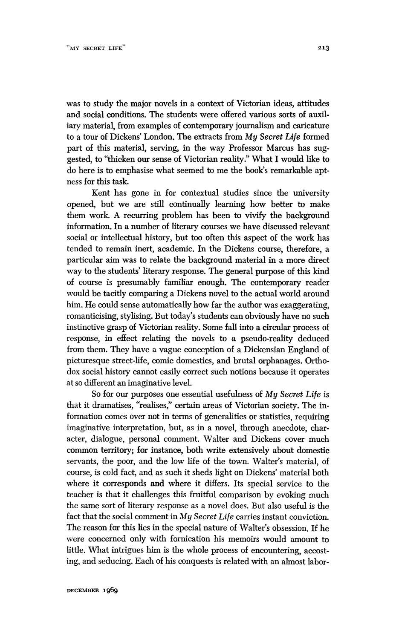**was to study the major novels in a context of Victorian ideas, attitudes and social conditions. The students were offered various sorts of auxiliary material, from examples of contemporary journalism and caricature to a tour of Dickens' London. The extracts from My Secret Life formed part of this material, serving, in the way Professor Marcus has suggested, to "thicken our sense of Victorian reality." What I would like to do here is to emphasise what seemed to me the book's remarkable aptness for this task.** 

**Kent has gone in for contextual studies since the university opened, but we are still continually learning how better to make them work. A recurring problem has been to vivify the background information. In a number of literary courses we have discussed relevant social or intellectual history, but too often this aspect of the work has tended to remain inert, academic. In the Dickens course, therefore, a particular aim was to relate the background material in a more direct way to the students' literary response. The general purpose of this kind of course is presumably familiar enough. The contemporary reader would be tacitly comparing a Dickens novel to the actual world around him. He could sense automatically how far the author was exaggerating, romanticising, stylising. But today's students can obviously have no such instinctive grasp of Victorian reality. Some fall into a circular process of response, in effect relating the novels to a pseudo-reality deduced from them. They have a vague conception of a Dickensian England of picturesque street-life, comic domestics, and brutal orphanages. Orthodox social history cannot easily correct such notions because it operates at so different an imaginative level.** 

**So for our purposes one essential usefulness of My Secret Life is that it dramatises, "realises," certain areas of Victorian society. The information comes over not in terms of generalities or statistics, requiring imaginative interpretation, but, as in a novel, through anecdote, character, dialogue, personal comment. Walter and Dickens cover much common territory; for instance, both write extensively about domestic servants, the poor, and the low life of the town. Walter's material, of course, is cold fact, and as such it sheds light on Dickens' material both where it corresponds and where it differs. Its special service to the teacher is that it challenges this fruitful comparison by evoking much the same sort of literary response as a novel does. But also useful is the fact that the social comment in My Secret Life carries instant conviction. The reason for this lies in the special nature of Walter's obsession. If he were concerned only with fornication his memoirs would amount to little. What intrigues him is the whole process of encountering, accosting, and seducing. Each of his conquests is related with an almost labor-**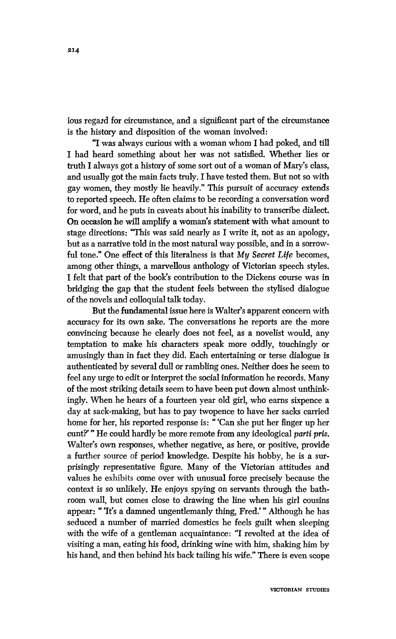**ious regard for circumstance, and a significant part of the circumstance is the history and disposition of the woman involved:** 

**"I was always curious with a woman whom I had poked, and till I had heard something about her was not satisfied. Whether lies or truth I always got a history of some sort out of a woman of Mary's class, and usually got the main facts truly. I have tested them. But not so with gay women, they mostly lie heavily." This pursuit of accuracy extends to reported speech. He often claims to be recording a conversation word for word, and he puts in caveats about his inability to transcribe dialect. On occasion he will amplify a woman's statement with what amount to stage directions: "This was said nearly as I write it, not as an apology, but as a narrative told in the most natural way possible, and in a sorrowful tone." One effect of this literalness is that My Secret Life becomes, among other things, a marvellous anthology of Victorian speech styles. I felt that part of the book's contribution to the Dickens course was in bridging the gap that the student feels between the stylised dialogue of the novels and colloquial talk today.** 

**But the fundamental issue here is Walter's apparent concern with accuracy for its own sake. The conversations he reports are the more convincing because he clearly does not feel, as a novelist would, any temptation to make his characters speak more oddly, touchingly or amusingly than in fact they did. Each entertaining or terse dialogue is authenticated by several dull or rambling ones. Neither does he seem to feel any urge to edit or interpret the social information he records. Many of the most striking details seem to have been put down almost unthinkingly. When he hears of a fourteen year old girl, who earns sixpence a day at sack-making, but has to pay twopence to have her sacks carried home for her, his reported response is: "'Can she put her finger up her cunt?'" He could hardly be more remote from any ideological parti pris. Walter's own responses, whether negative, as here, or positive, provide a further source of period knowledge. Despite his hobby, he is a surprisingly representative figure. Many of the Victorian attitudes and values he exhibits come over with unusual force precisely because the context is so unlikely. He enjoys spying on servants through the bathroom wall, but comes close to drawing the line when his girl cousins appear: "'It's a damned ungentlemanly thing, Fred.'" Although he has seduced a number of married domestics he feels guilt when sleeping with the wife of a gentleman acquaintance: "I revolted at the idea of visiting a man, eating his food, drinking wine with him, shaking him by his hand, and then behind his back tailing his wife." There is even scope**